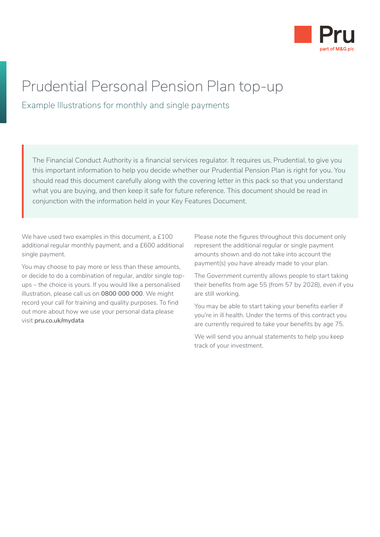

# Prudential Personal Pension Plan top-up

Example Illustrations for monthly and single payments

The Financial Conduct Authority is a financial services regulator. It requires us, Prudential, to give you this important information to help you decide whether our Prudential Pension Plan is right for you. You should read this document carefully along with the covering letter in this pack so that you understand what you are buying, and then keep it safe for future reference. This document should be read in conjunction with the information held in your Key Features Document.

We have used two examples in this document, a £100 additional regular monthly payment, and a £600 additional single payment.

You may choose to pay more or less than these amounts, or decide to do a combination of regular, and/or single topups – the choice is yours. If you would like a personalised illustration, please call us on **0800 000 000**. We might record your call for training and quality purposes. To find out more about how we use your personal data please visit **[pru.co.uk/mydata](http://www.pru.co.uk/mydata)**

Please note the figures throughout this document only represent the additional regular or single payment amounts shown and do not take into account the payment(s) you have already made to your plan.

The Government currently allows people to start taking their benefits from age 55 (from 57 by 2028), even if you are still working.

You may be able to start taking your benefits earlier if you're in ill health. Under the terms of this contract you are currently required to take your benefits by age 75.

We will send you annual statements to help you keep track of your investment.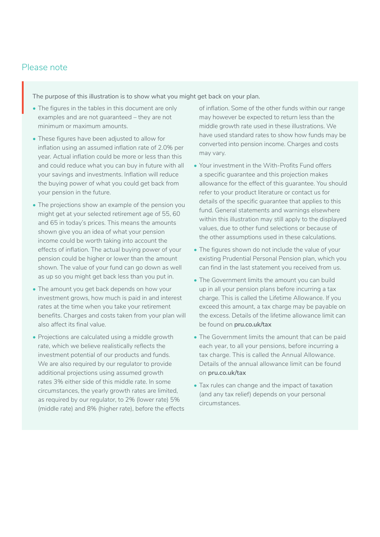### Please note

The purpose of this illustration is to show what you might get back on your plan.

- The figures in the tables in this document are only examples and are not guaranteed – they are not minimum or maximum amounts.
- These figures have been adjusted to allow for inflation using an assumed inflation rate of 2.0% per year. Actual inflation could be more or less than this and could reduce what you can buy in future with all your savings and investments. Inflation will reduce the buying power of what you could get back from your pension in the future.
- The projections show an example of the pension you might get at your selected retirement age of 55, 60 and 65 in today's prices. This means the amounts shown give you an idea of what your pension income could be worth taking into account the effects of inflation. The actual buying power of your pension could be higher or lower than the amount shown. The value of your fund can go down as well as up so you might get back less than you put in.
- The amount you get back depends on how your investment grows, how much is paid in and interest rates at the time when you take your retirement benefits. Charges and costs taken from your plan will also affect its final value.
- Projections are calculated using a middle growth rate, which we believe realistically reflects the investment potential of our products and funds. We are also required by our regulator to provide additional projections using assumed growth rates 3% either side of this middle rate. In some circumstances, the yearly growth rates are limited, as required by our regulator, to 2% (lower rate) 5% (middle rate) and 8% (higher rate), before the effects

of inflation. Some of the other funds within our range may however be expected to return less than the middle growth rate used in these illustrations. We have used standard rates to show how funds may be converted into pension income. Charges and costs may vary.

- Your investment in the With-Profits Fund offers a specific guarantee and this projection makes allowance for the effect of this guarantee. You should refer to your product literature or contact us for details of the specific guarantee that applies to this fund. General statements and warnings elsewhere within this illustration may still apply to the displayed values, due to other fund selections or because of the other assumptions used in these calculations.
- The figures shown do not include the value of your existing Prudential Personal Pension plan, which you can find in the last statement you received from us.
- The Government limits the amount you can build up in all your pension plans before incurring a tax charge. This is called the Lifetime Allowance. If you exceed this amount, a tax charge may be payable on the excess. Details of the lifetime allowance limit can be found on **[pru.co.uk/tax](https://www.pru.co.uk/tax)**
- The Government limits the amount that can be paid each year, to all your pensions, before incurring a tax charge. This is called the Annual Allowance. Details of the annual allowance limit can be found on **[pru.co.uk/tax](https://www.pru.co.uk/tax)**
- Tax rules can change and the impact of taxation (and any tax relief) depends on your personal circumstances.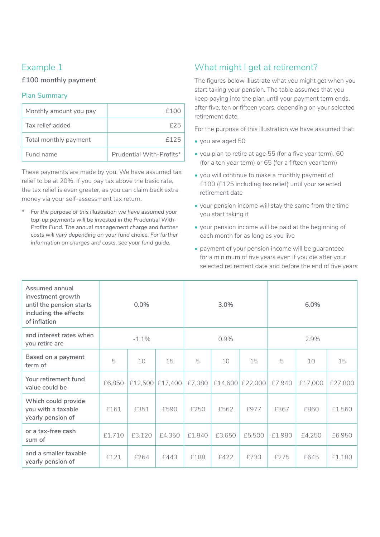### Example 1

### **£100 monthly payment**

#### Plan Summary

| Monthly amount you pay | f100                     |
|------------------------|--------------------------|
| Tax relief added       |                          |
| Total monthly payment  | f125                     |
| Fund name              | Prudential With-Profits* |

These payments are made by you. We have assumed tax relief to be at 20%. If you pay tax above the basic rate, the tax relief is even greater, as you can claim back extra money via your self-assessment tax return.

*\* For the purpose of this illustration we have assumed your top-up payments will be invested in the Prudential With-Profits Fund. The annual management charge and further costs will vary depending on your fund choice. For further information on charges and costs, see your fund guide.*

## What might I get at retirement?

The figures below illustrate what you might get when you start taking your pension. The table assumes that you keep paying into the plan until your payment term ends, after five, ten or fifteen years, depending on your selected retirement date.

For the purpose of this illustration we have assumed that:

- you are aged 50
- you plan to retire at age 55 (for a five year term), 60 (for a ten year term) or 65 (for a fifteen year term)
- you will continue to make a monthly payment of £100 (£125 including tax relief) until your selected retirement date
- your pension income will stay the same from the time you start taking it
- your pension income will be paid at the beginning of each month for as long as you live
- payment of your pension income will be guaranteed for a minimum of five years even if you die after your selected retirement date and before the end of five years

| Assumed annual<br>investment growth<br>until the pension starts<br>including the effects<br>of inflation | 0.0%   |                 | 3.0%            |        | 6.0%   |                 |        |         |         |
|----------------------------------------------------------------------------------------------------------|--------|-----------------|-----------------|--------|--------|-----------------|--------|---------|---------|
| and interest rates when<br>you retire are                                                                |        | $-1.1%$<br>0.9% |                 | 2.9%   |        |                 |        |         |         |
| Based on a payment<br>term of                                                                            | 5      | 10              | 15              | 5      | 10     | 15              | 5      | 10      | 15      |
| Your retirement fund<br>value could be                                                                   | £6,850 |                 | £12,500 £17,400 | £7,380 |        | £14,600 £22,000 | £7,940 | £17,000 | £27,800 |
| Which could provide<br>you with a taxable<br>yearly pension of                                           | £161   | £351            | £590            | £250   | £562   | £977            | £367   | £860    | £1,560  |
| or a tax-free cash<br>sum of                                                                             | £1,710 | £3,120          | £4,350          | £1,840 | £3,650 | £5,500          | £1,980 | £4,250  | £6,950  |
| and a smaller taxable<br>yearly pension of                                                               | £121   | £264            | £443            | £188   | £422   | £733            | £275   | £645    | £1,180  |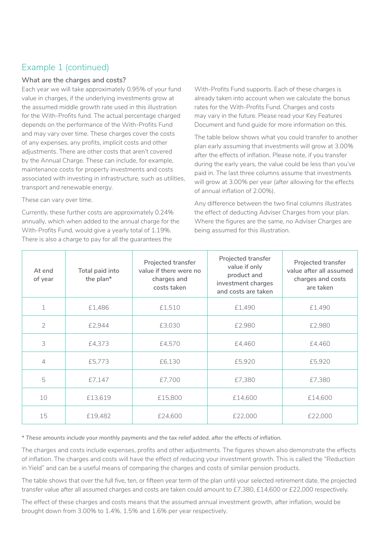### Example 1 (continued)

#### **What are the charges and costs?**

Each year we will take approximately 0.95% of your fund value in charges, if the underlying investments grow at the assumed middle growth rate used in this illustration for the With-Profits fund. The actual percentage charged depends on the performance of the With-Profits Fund and may vary over time. These charges cover the costs of any expenses, any profits, implicit costs and other adjustments. There are other costs that aren't covered by the Annual Charge. These can include, for example, maintenance costs for property investments and costs associated with investing in infrastructure, such as utilities, transport and renewable energy.

These can vary over time.

Currently, these further costs are approximately 0.24% annually, which when added to the annual charge for the With-Profits Fund, would give a yearly total of 1.19%. There is also a charge to pay for all the guarantees the

With-Profits Fund supports. Each of these charges is already taken into account when we calculate the bonus rates for the With-Profits Fund. Charges and costs may vary in the future. Please read your Key Features Document and fund guide for more information on this.

The table below shows what you could transfer to another plan early assuming that investments will grow at 3.00% after the effects of inflation. Please note, if you transfer during the early years, the value could be less than you've paid in. The last three columns assume that investments will grow at 3.00% per year (after allowing for the effects of annual inflation of 2.00%).

Any difference between the two final columns illustrates the effect of deducting Adviser Charges from your plan. Where the figures are the same, no Adviser Charges are being assumed for this illustration.

| At end<br>of year | Total paid into<br>the plan* | Projected transfer<br>value if there were no<br>charges and<br>costs taken | Projected transfer<br>value if only<br>product and<br>investment charges<br>and costs are taken | Projected transfer<br>value after all assumed<br>charges and costs<br>are taken |
|-------------------|------------------------------|----------------------------------------------------------------------------|-------------------------------------------------------------------------------------------------|---------------------------------------------------------------------------------|
| 1                 | £1,486                       | £1,510                                                                     | £1,490                                                                                          | £1,490                                                                          |
| $\overline{2}$    | £2,944                       | £3,030                                                                     | £2,980                                                                                          | £2,980                                                                          |
| 3                 | £4,373                       | £4,570                                                                     | £4,460                                                                                          | £4,460                                                                          |
| 4                 | £5,773                       | £6,130                                                                     | £5,920                                                                                          | £5,920                                                                          |
| 5                 | £7,147                       | £7,700                                                                     | £7,380                                                                                          | £7,380                                                                          |
| 10                | £13,619                      | £15,800                                                                    | £14,600                                                                                         | £14,600                                                                         |
| 15                | £19,482                      | £24,600                                                                    | £22,000                                                                                         | £22,000                                                                         |

*\* These amounts include your monthly payments and the tax relief added, after the effects of inflation.*

The charges and costs include expenses, profits and other adjustments. The figures shown also demonstrate the effects of inflation. The charges and costs will have the effect of reducing your investment growth. This is called the "Reduction in Yield" and can be a useful means of comparing the charges and costs of similar pension products.

The table shows that over the full five, ten, or fifteen year term of the plan until your selected retirement date, the projected transfer value after all assumed charges and costs are taken could amount to £7,380, £14,600 or £22,000 respectively.

The effect of these charges and costs means that the assumed annual investment growth, after inflation, would be brought down from 3.00% to 1.4%, 1.5% and 1.6% per year respectively.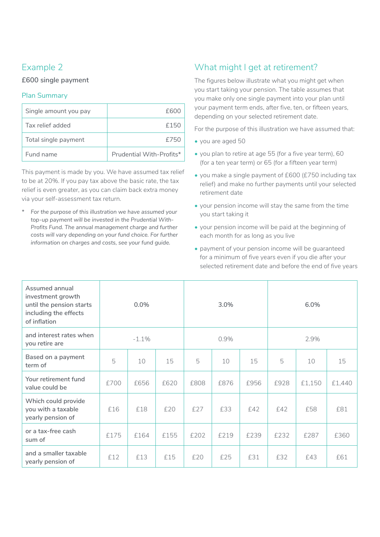## Example 2

#### **£600 single payment**

#### Plan Summary

| Single amount you pay | £600                     |
|-----------------------|--------------------------|
| Tax relief added      | £150                     |
| Total single payment  | f750                     |
| Fund name             | Prudential With-Profits* |

This payment is made by you. We have assumed tax relief to be at 20%. If you pay tax above the basic rate, the tax relief is even greater, as you can claim back extra money via your self-assessment tax return.

*\* For the purpose of this illustration we have assumed your top-up payment will be invested in the Prudential With-Profits Fund. The annual management charge and further costs will vary depending on your fund choice. For further information on charges and costs, see your fund guide.*

## What might I get at retirement?

The figures below illustrate what you might get when you start taking your pension. The table assumes that you make only one single payment into your plan until your payment term ends, after five, ten, or fifteen years, depending on your selected retirement date.

For the purpose of this illustration we have assumed that:

- you are aged 50
- you plan to retire at age 55 (for a five year term), 60 (for a ten year term) or 65 (for a fifteen year term)
- you make a single payment of £600 (£750 including tax relief) and make no further payments until your selected retirement date
- your pension income will stay the same from the time you start taking it
- your pension income will be paid at the beginning of each month for as long as you live
- payment of your pension income will be guaranteed for a minimum of five years even if you die after your selected retirement date and before the end of five years

| Assumed annual<br>investment growth<br>until the pension starts<br>including the effects<br>of inflation |      | 0.0%     |      |      | 3.0% |      |      | 6.0%   |        |
|----------------------------------------------------------------------------------------------------------|------|----------|------|------|------|------|------|--------|--------|
| and interest rates when<br>you retire are                                                                |      | $-1.1\%$ |      | 0.9% |      | 2.9% |      |        |        |
| Based on a payment<br>term of                                                                            | 5    | 10       | 15   | 5    | 10   | 15   | 5    | 10     | 15     |
| Your retirement fund<br>value could be                                                                   | £700 | £656     | £620 | £808 | £876 | £956 | £928 | £1,150 | £1,440 |
| Which could provide<br>you with a taxable<br>yearly pension of                                           | £16  | £18      | £20  | £27  | £33  | £42  | £42  | £58    | £81    |
| or a tax-free cash<br>sum of                                                                             | £175 | £164     | £155 | £202 | £219 | £239 | £232 | £287   | £360   |
| and a smaller taxable<br>yearly pension of                                                               | £12  | £13      | £15  | £20  | £25  | £31  | £32  | £43    | £61    |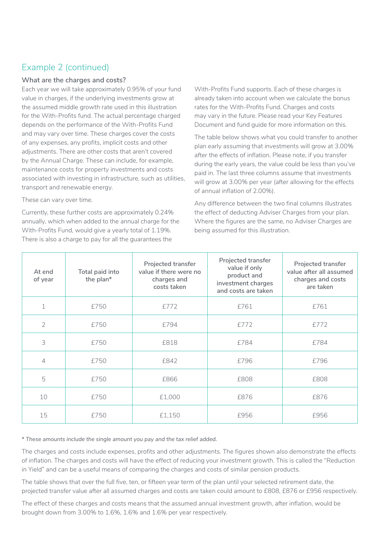### Example 2 (continued)

#### **What are the charges and costs?**

Each year we will take approximately 0.95% of your fund value in charges, if the underlying investments grow at the assumed middle growth rate used in this illustration for the With-Profits fund. The actual percentage charged depends on the performance of the With-Profits Fund and may vary over time. These charges cover the costs of any expenses, any profits, implicit costs and other adjustments. There are other costs that aren't covered by the Annual Charge. These can include, for example, maintenance costs for property investments and costs associated with investing in infrastructure, such as utilities, transport and renewable energy.

These can vary over time.

Currently, these further costs are approximately 0.24% annually, which when added to the annual charge for the With-Profits Fund, would give a yearly total of 1.19%. There is also a charge to pay for all the guarantees the

With-Profits Fund supports. Each of these charges is already taken into account when we calculate the bonus rates for the With-Profits Fund. Charges and costs may vary in the future. Please read your Key Features Document and fund guide for more information on this.

The table below shows what you could transfer to another plan early assuming that investments will grow at 3.00% after the effects of inflation. Please note, if you transfer during the early years, the value could be less than you've paid in. The last three columns assume that investments will grow at 3.00% per year (after allowing for the effects of annual inflation of 2.00%).

Any difference between the two final columns illustrates the effect of deducting Adviser Charges from your plan. Where the figures are the same, no Adviser Charges are being assumed for this illustration.

| At end<br>of year | Total paid into<br>the plan* | Projected transfer<br>value if there were no<br>charges and<br>costs taken | Projected transfer<br>value if only<br>product and<br>investment charges<br>and costs are taken | Projected transfer<br>value after all assumed<br>charges and costs<br>are taken |
|-------------------|------------------------------|----------------------------------------------------------------------------|-------------------------------------------------------------------------------------------------|---------------------------------------------------------------------------------|
| $\mathbf 1$       | £750                         | £772                                                                       | £761                                                                                            | £761                                                                            |
| $\overline{2}$    | £750                         | £794                                                                       | £772                                                                                            | £772                                                                            |
| 3                 | £750                         | £818                                                                       | £784                                                                                            | £784                                                                            |
| $\overline{4}$    | £750                         | £842                                                                       | £796                                                                                            | £796                                                                            |
| 5                 | £750                         | £866                                                                       | £808                                                                                            | £808                                                                            |
| 10                | £750                         | £1,000                                                                     | £876                                                                                            | £876                                                                            |
| 15                | £750                         | £1,150                                                                     | £956                                                                                            | £956                                                                            |

*\* These amounts include the single amount you pay and the tax relief added.*

The charges and costs include expenses, profits and other adjustments. The figures shown also demonstrate the effects of inflation. The charges and costs will have the effect of reducing your investment growth. This is called the "Reduction in Yield" and can be a useful means of comparing the charges and costs of similar pension products.

The table shows that over the full five, ten, or fifteen year term of the plan until your selected retirement date, the projected transfer value after all assumed charges and costs are taken could amount to £808, £876 or £956 respectively.

The effect of these charges and costs means that the assumed annual investment growth, after inflation, would be brought down from 3.00% to 1.6%, 1.6% and 1.6% per year respectively.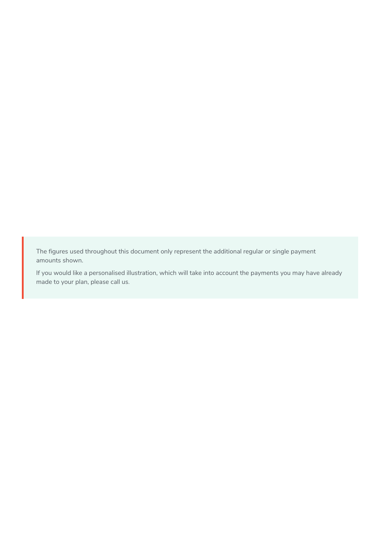The figures used throughout this document only represent the additional regular or single payment amounts shown.

If you would like a personalised illustration, which will take into account the payments you may have already made to your plan, please call us.